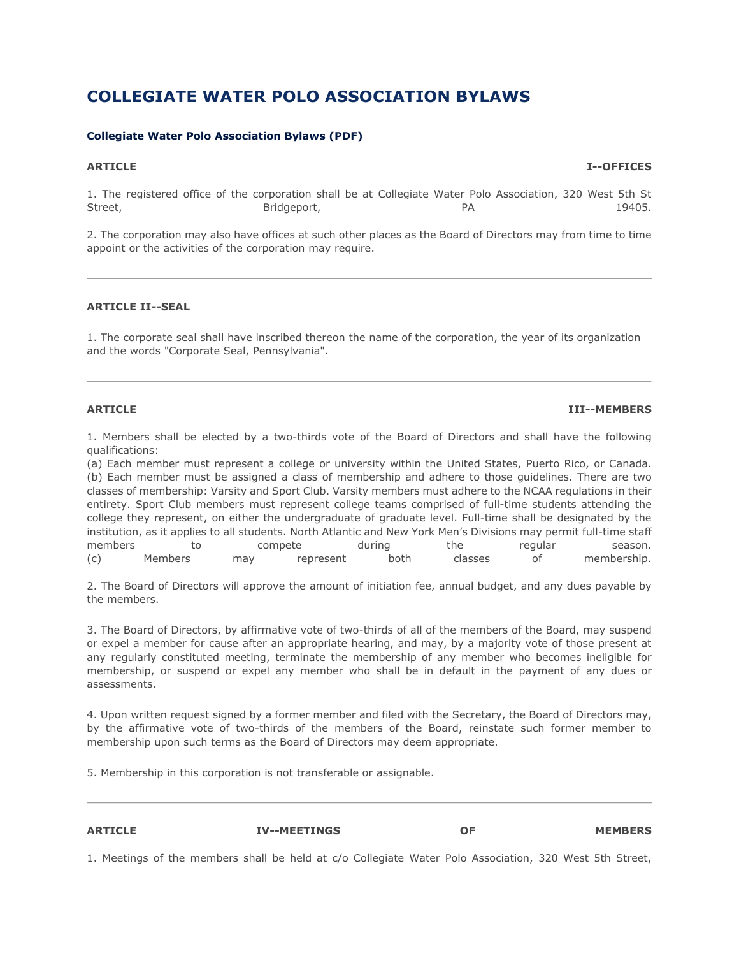# **COLLEGIATE WATER POLO ASSOCIATION BYLAWS**

## **[Collegiate Water Polo Association Bylaws \(PDF\)](http://collegiatewaterpolo.org/about/Governance/CWPABylawsUpdateMay2009.pdf)**

**ARTICLE I--OFFICES**

1. The registered office of the corporation shall be at Collegiate Water Polo Association, 320 West 5th St Street, Bridgeport, PA 19405.

2. The corporation may also have offices at such other places as the Board of Directors may from time to time appoint or the activities of the corporation may require.

# **ARTICLE II--SEAL**

1. The corporate seal shall have inscribed thereon the name of the corporation, the year of its organization and the words "Corporate Seal, Pennsylvania".

#### **ARTICLE III--MEMBERS**

1. Members shall be elected by a two-thirds vote of the Board of Directors and shall have the following qualifications:

(a) Each member must represent a college or university within the United States, Puerto Rico, or Canada. (b) Each member must be assigned a class of membership and adhere to those guidelines. There are two classes of membership: Varsity and Sport Club. Varsity members must adhere to the NCAA regulations in their entirety. Sport Club members must represent college teams comprised of full-time students attending the college they represent, on either the undergraduate of graduate level. Full-time shall be designated by the institution, as it applies to all students. North Atlantic and New York Men's Divisions may permit full-time staff members to compete during the regular season. (c) Members may represent both classes of membership.

2. The Board of Directors will approve the amount of initiation fee, annual budget, and any dues payable by the members.

3. The Board of Directors, by affirmative vote of two-thirds of all of the members of the Board, may suspend or expel a member for cause after an appropriate hearing, and may, by a majority vote of those present at any regularly constituted meeting, terminate the membership of any member who becomes ineligible for membership, or suspend or expel any member who shall be in default in the payment of any dues or assessments.

4. Upon written request signed by a former member and filed with the Secretary, the Board of Directors may, by the affirmative vote of two-thirds of the members of the Board, reinstate such former member to membership upon such terms as the Board of Directors may deem appropriate.

5. Membership in this corporation is not transferable or assignable.

1. Meetings of the members shall be held at c/o Collegiate Water Polo Association, 320 West 5th Street,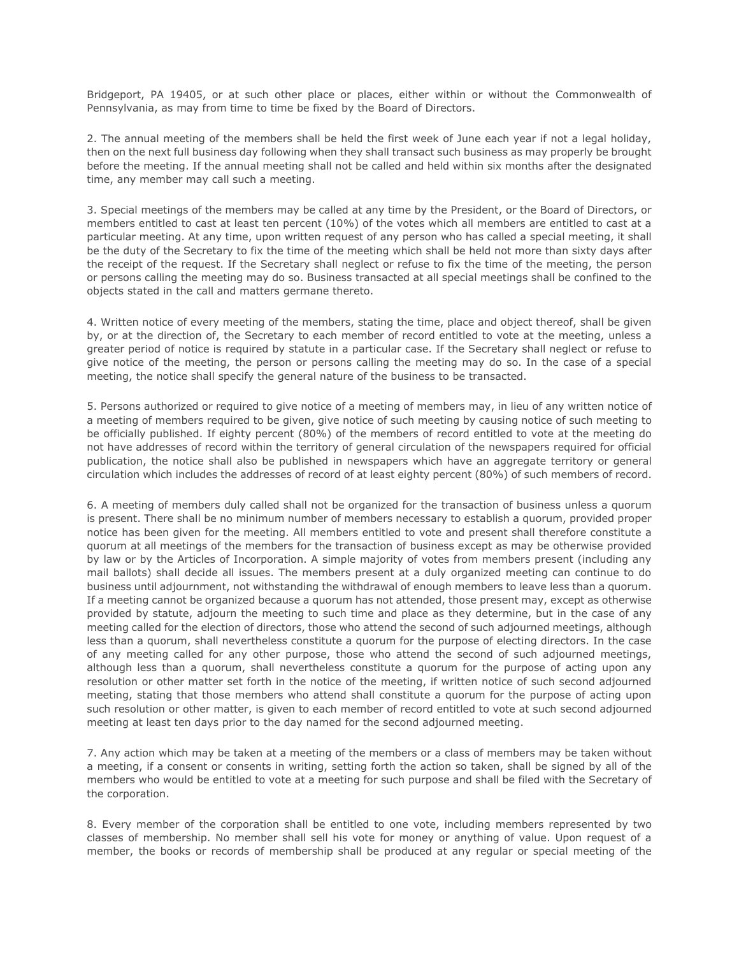Bridgeport, PA 19405, or at such other place or places, either within or without the Commonwealth of Pennsylvania, as may from time to time be fixed by the Board of Directors.

2. The annual meeting of the members shall be held the first week of June each year if not a legal holiday, then on the next full business day following when they shall transact such business as may properly be brought before the meeting. If the annual meeting shall not be called and held within six months after the designated time, any member may call such a meeting.

3. Special meetings of the members may be called at any time by the President, or the Board of Directors, or members entitled to cast at least ten percent (10%) of the votes which all members are entitled to cast at a particular meeting. At any time, upon written request of any person who has called a special meeting, it shall be the duty of the Secretary to fix the time of the meeting which shall be held not more than sixty days after the receipt of the request. If the Secretary shall neglect or refuse to fix the time of the meeting, the person or persons calling the meeting may do so. Business transacted at all special meetings shall be confined to the objects stated in the call and matters germane thereto.

4. Written notice of every meeting of the members, stating the time, place and object thereof, shall be given by, or at the direction of, the Secretary to each member of record entitled to vote at the meeting, unless a greater period of notice is required by statute in a particular case. If the Secretary shall neglect or refuse to give notice of the meeting, the person or persons calling the meeting may do so. In the case of a special meeting, the notice shall specify the general nature of the business to be transacted.

5. Persons authorized or required to give notice of a meeting of members may, in lieu of any written notice of a meeting of members required to be given, give notice of such meeting by causing notice of such meeting to be officially published. If eighty percent (80%) of the members of record entitled to vote at the meeting do not have addresses of record within the territory of general circulation of the newspapers required for official publication, the notice shall also be published in newspapers which have an aggregate territory or general circulation which includes the addresses of record of at least eighty percent (80%) of such members of record.

6. A meeting of members duly called shall not be organized for the transaction of business unless a quorum is present. There shall be no minimum number of members necessary to establish a quorum, provided proper notice has been given for the meeting. All members entitled to vote and present shall therefore constitute a quorum at all meetings of the members for the transaction of business except as may be otherwise provided by law or by the Articles of Incorporation. A simple majority of votes from members present (including any mail ballots) shall decide all issues. The members present at a duly organized meeting can continue to do business until adjournment, not withstanding the withdrawal of enough members to leave less than a quorum. If a meeting cannot be organized because a quorum has not attended, those present may, except as otherwise provided by statute, adjourn the meeting to such time and place as they determine, but in the case of any meeting called for the election of directors, those who attend the second of such adjourned meetings, although less than a quorum, shall nevertheless constitute a quorum for the purpose of electing directors. In the case of any meeting called for any other purpose, those who attend the second of such adjourned meetings, although less than a quorum, shall nevertheless constitute a quorum for the purpose of acting upon any resolution or other matter set forth in the notice of the meeting, if written notice of such second adjourned meeting, stating that those members who attend shall constitute a quorum for the purpose of acting upon such resolution or other matter, is given to each member of record entitled to vote at such second adjourned meeting at least ten days prior to the day named for the second adjourned meeting.

7. Any action which may be taken at a meeting of the members or a class of members may be taken without a meeting, if a consent or consents in writing, setting forth the action so taken, shall be signed by all of the members who would be entitled to vote at a meeting for such purpose and shall be filed with the Secretary of the corporation.

8. Every member of the corporation shall be entitled to one vote, including members represented by two classes of membership. No member shall sell his vote for money or anything of value. Upon request of a member, the books or records of membership shall be produced at any regular or special meeting of the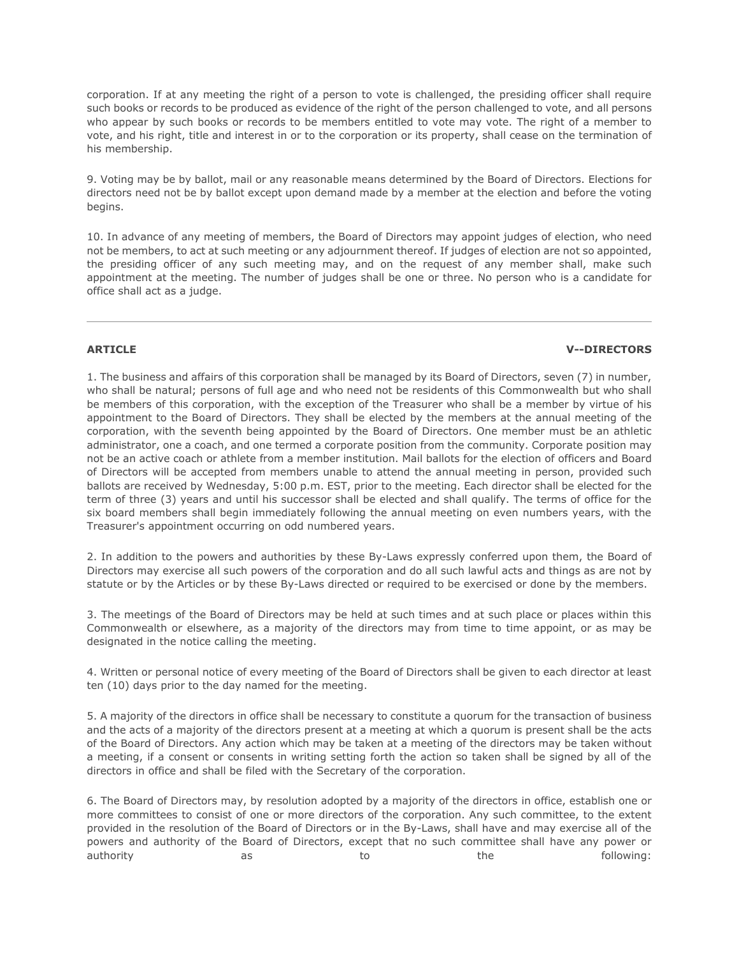corporation. If at any meeting the right of a person to vote is challenged, the presiding officer shall require such books or records to be produced as evidence of the right of the person challenged to vote, and all persons who appear by such books or records to be members entitled to vote may vote. The right of a member to vote, and his right, title and interest in or to the corporation or its property, shall cease on the termination of his membership.

9. Voting may be by ballot, mail or any reasonable means determined by the Board of Directors. Elections for directors need not be by ballot except upon demand made by a member at the election and before the voting begins.

10. In advance of any meeting of members, the Board of Directors may appoint judges of election, who need not be members, to act at such meeting or any adjournment thereof. If judges of election are not so appointed, the presiding officer of any such meeting may, and on the request of any member shall, make such appointment at the meeting. The number of judges shall be one or three. No person who is a candidate for office shall act as a judge.

#### **ARTICLE V--DIRECTORS**

1. The business and affairs of this corporation shall be managed by its Board of Directors, seven (7) in number, who shall be natural; persons of full age and who need not be residents of this Commonwealth but who shall be members of this corporation, with the exception of the Treasurer who shall be a member by virtue of his appointment to the Board of Directors. They shall be elected by the members at the annual meeting of the corporation, with the seventh being appointed by the Board of Directors. One member must be an athletic administrator, one a coach, and one termed a corporate position from the community. Corporate position may not be an active coach or athlete from a member institution. Mail ballots for the election of officers and Board of Directors will be accepted from members unable to attend the annual meeting in person, provided such ballots are received by Wednesday, 5:00 p.m. EST, prior to the meeting. Each director shall be elected for the term of three (3) years and until his successor shall be elected and shall qualify. The terms of office for the six board members shall begin immediately following the annual meeting on even numbers years, with the Treasurer's appointment occurring on odd numbered years.

2. In addition to the powers and authorities by these By-Laws expressly conferred upon them, the Board of Directors may exercise all such powers of the corporation and do all such lawful acts and things as are not by statute or by the Articles or by these By-Laws directed or required to be exercised or done by the members.

3. The meetings of the Board of Directors may be held at such times and at such place or places within this Commonwealth or elsewhere, as a majority of the directors may from time to time appoint, or as may be designated in the notice calling the meeting.

4. Written or personal notice of every meeting of the Board of Directors shall be given to each director at least ten (10) days prior to the day named for the meeting.

5. A majority of the directors in office shall be necessary to constitute a quorum for the transaction of business and the acts of a majority of the directors present at a meeting at which a quorum is present shall be the acts of the Board of Directors. Any action which may be taken at a meeting of the directors may be taken without a meeting, if a consent or consents in writing setting forth the action so taken shall be signed by all of the directors in office and shall be filed with the Secretary of the corporation.

6. The Board of Directors may, by resolution adopted by a majority of the directors in office, establish one or more committees to consist of one or more directors of the corporation. Any such committee, to the extent provided in the resolution of the Board of Directors or in the By-Laws, shall have and may exercise all of the powers and authority of the Board of Directors, except that no such committee shall have any power or authority as as to the the following: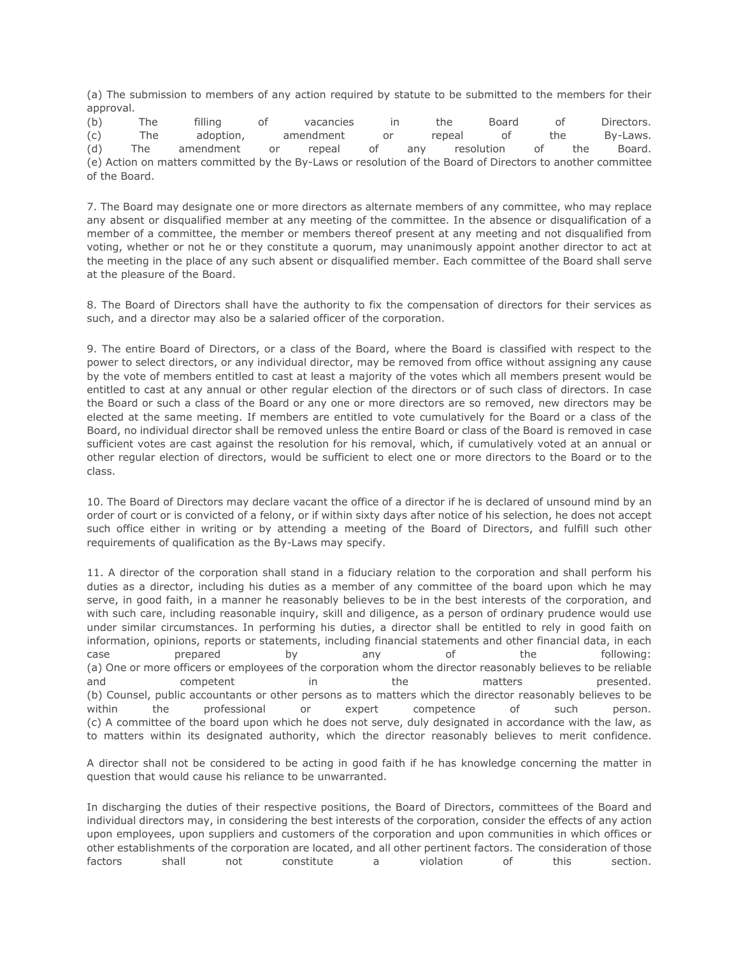(a) The submission to members of any action required by statute to be submitted to the members for their approval.

(b) The filling of vacancies in the Board of Directors. (c) The adoption, amendment or repeal of the By-Laws. (d) The amendment or repeal of any resolution of the Board. (e) Action on matters committed by the By-Laws or resolution of the Board of Directors to another committee of the Board.

7. The Board may designate one or more directors as alternate members of any committee, who may replace any absent or disqualified member at any meeting of the committee. In the absence or disqualification of a member of a committee, the member or members thereof present at any meeting and not disqualified from voting, whether or not he or they constitute a quorum, may unanimously appoint another director to act at the meeting in the place of any such absent or disqualified member. Each committee of the Board shall serve at the pleasure of the Board.

8. The Board of Directors shall have the authority to fix the compensation of directors for their services as such, and a director may also be a salaried officer of the corporation.

9. The entire Board of Directors, or a class of the Board, where the Board is classified with respect to the power to select directors, or any individual director, may be removed from office without assigning any cause by the vote of members entitled to cast at least a majority of the votes which all members present would be entitled to cast at any annual or other regular election of the directors or of such class of directors. In case the Board or such a class of the Board or any one or more directors are so removed, new directors may be elected at the same meeting. If members are entitled to vote cumulatively for the Board or a class of the Board, no individual director shall be removed unless the entire Board or class of the Board is removed in case sufficient votes are cast against the resolution for his removal, which, if cumulatively voted at an annual or other regular election of directors, would be sufficient to elect one or more directors to the Board or to the class.

10. The Board of Directors may declare vacant the office of a director if he is declared of unsound mind by an order of court or is convicted of a felony, or if within sixty days after notice of his selection, he does not accept such office either in writing or by attending a meeting of the Board of Directors, and fulfill such other requirements of qualification as the By-Laws may specify.

11. A director of the corporation shall stand in a fiduciary relation to the corporation and shall perform his duties as a director, including his duties as a member of any committee of the board upon which he may serve, in good faith, in a manner he reasonably believes to be in the best interests of the corporation, and with such care, including reasonable inquiry, skill and diligence, as a person of ordinary prudence would use under similar circumstances. In performing his duties, a director shall be entitled to rely in good faith on information, opinions, reports or statements, including financial statements and other financial data, in each case prepared by any of the following: (a) One or more officers or employees of the corporation whom the director reasonably believes to be reliable and and competent in the matters presented. (b) Counsel, public accountants or other persons as to matters which the director reasonably believes to be within the professional or expert competence of such person. (c) A committee of the board upon which he does not serve, duly designated in accordance with the law, as to matters within its designated authority, which the director reasonably believes to merit confidence.

A director shall not be considered to be acting in good faith if he has knowledge concerning the matter in question that would cause his reliance to be unwarranted.

In discharging the duties of their respective positions, the Board of Directors, committees of the Board and individual directors may, in considering the best interests of the corporation, consider the effects of any action upon employees, upon suppliers and customers of the corporation and upon communities in which offices or other establishments of the corporation are located, and all other pertinent factors. The consideration of those factors shall not constitute a violation of this section.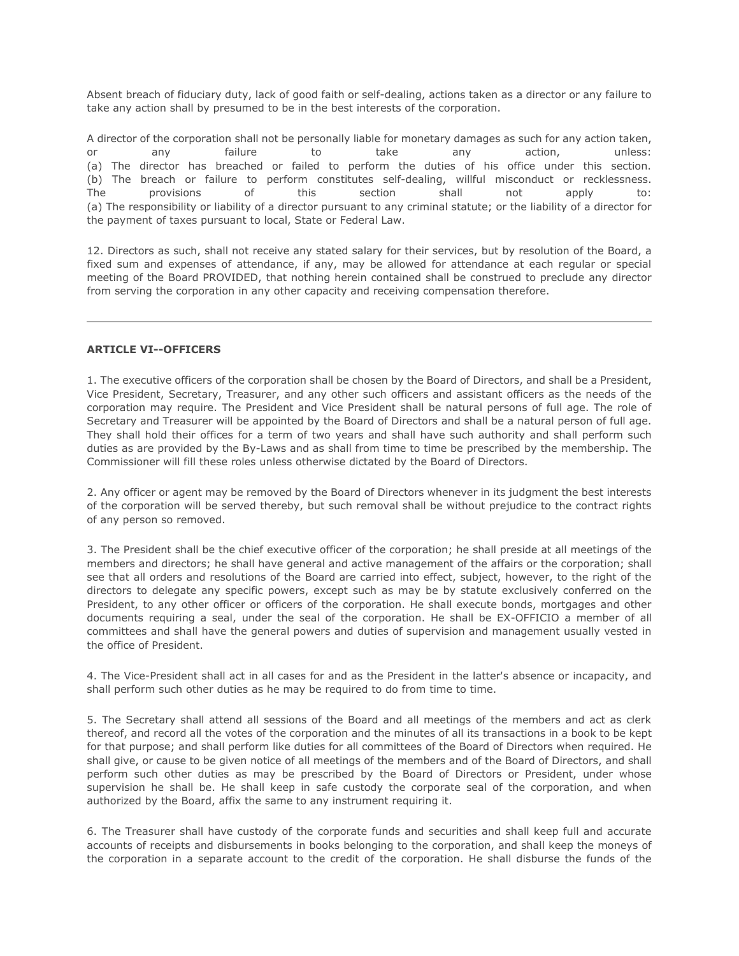Absent breach of fiduciary duty, lack of good faith or self-dealing, actions taken as a director or any failure to take any action shall by presumed to be in the best interests of the corporation.

A director of the corporation shall not be personally liable for monetary damages as such for any action taken, or any failure to take any action, unless: (a) The director has breached or failed to perform the duties of his office under this section. (b) The breach or failure to perform constitutes self-dealing, willful misconduct or recklessness. The provisions of this section shall not apply to: (a) The responsibility or liability of a director pursuant to any criminal statute; or the liability of a director for the payment of taxes pursuant to local, State or Federal Law.

12. Directors as such, shall not receive any stated salary for their services, but by resolution of the Board, a fixed sum and expenses of attendance, if any, may be allowed for attendance at each regular or special meeting of the Board PROVIDED, that nothing herein contained shall be construed to preclude any director from serving the corporation in any other capacity and receiving compensation therefore.

### **ARTICLE VI--OFFICERS**

1. The executive officers of the corporation shall be chosen by the Board of Directors, and shall be a President, Vice President, Secretary, Treasurer, and any other such officers and assistant officers as the needs of the corporation may require. The President and Vice President shall be natural persons of full age. The role of Secretary and Treasurer will be appointed by the Board of Directors and shall be a natural person of full age. They shall hold their offices for a term of two years and shall have such authority and shall perform such duties as are provided by the By-Laws and as shall from time to time be prescribed by the membership. The Commissioner will fill these roles unless otherwise dictated by the Board of Directors.

2. Any officer or agent may be removed by the Board of Directors whenever in its judgment the best interests of the corporation will be served thereby, but such removal shall be without prejudice to the contract rights of any person so removed.

3. The President shall be the chief executive officer of the corporation; he shall preside at all meetings of the members and directors; he shall have general and active management of the affairs or the corporation; shall see that all orders and resolutions of the Board are carried into effect, subject, however, to the right of the directors to delegate any specific powers, except such as may be by statute exclusively conferred on the President, to any other officer or officers of the corporation. He shall execute bonds, mortgages and other documents requiring a seal, under the seal of the corporation. He shall be EX-OFFICIO a member of all committees and shall have the general powers and duties of supervision and management usually vested in the office of President.

4. The Vice-President shall act in all cases for and as the President in the latter's absence or incapacity, and shall perform such other duties as he may be required to do from time to time.

5. The Secretary shall attend all sessions of the Board and all meetings of the members and act as clerk thereof, and record all the votes of the corporation and the minutes of all its transactions in a book to be kept for that purpose; and shall perform like duties for all committees of the Board of Directors when required. He shall give, or cause to be given notice of all meetings of the members and of the Board of Directors, and shall perform such other duties as may be prescribed by the Board of Directors or President, under whose supervision he shall be. He shall keep in safe custody the corporate seal of the corporation, and when authorized by the Board, affix the same to any instrument requiring it.

6. The Treasurer shall have custody of the corporate funds and securities and shall keep full and accurate accounts of receipts and disbursements in books belonging to the corporation, and shall keep the moneys of the corporation in a separate account to the credit of the corporation. He shall disburse the funds of the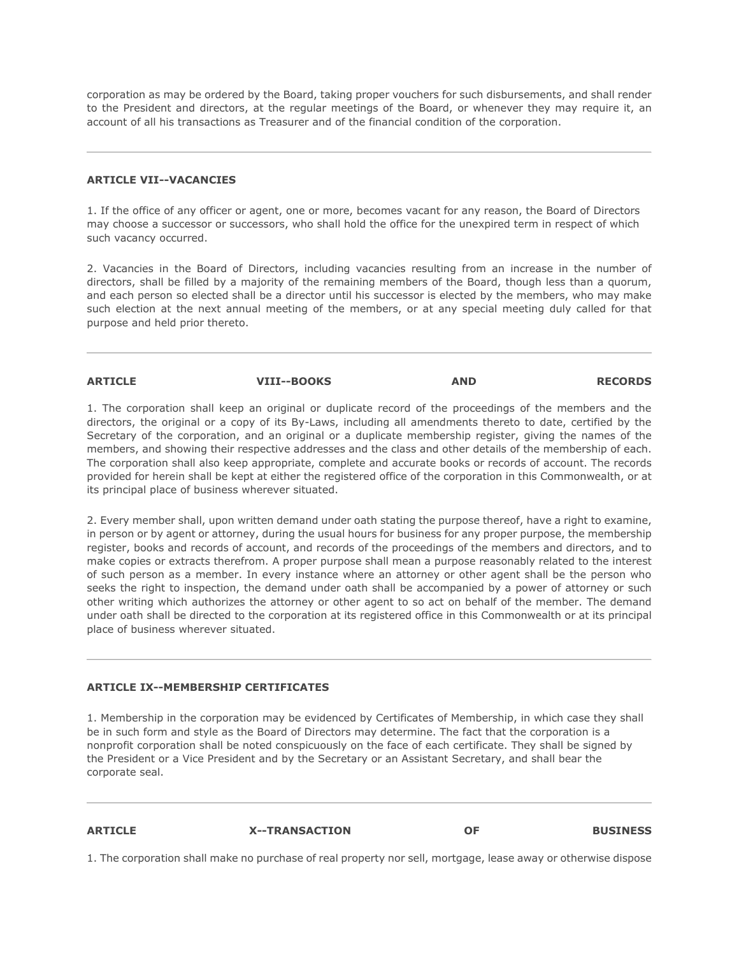corporation as may be ordered by the Board, taking proper vouchers for such disbursements, and shall render to the President and directors, at the regular meetings of the Board, or whenever they may require it, an account of all his transactions as Treasurer and of the financial condition of the corporation.

# **ARTICLE VII--VACANCIES**

1. If the office of any officer or agent, one or more, becomes vacant for any reason, the Board of Directors may choose a successor or successors, who shall hold the office for the unexpired term in respect of which such vacancy occurred.

2. Vacancies in the Board of Directors, including vacancies resulting from an increase in the number of directors, shall be filled by a majority of the remaining members of the Board, though less than a quorum, and each person so elected shall be a director until his successor is elected by the members, who may make such election at the next annual meeting of the members, or at any special meeting duly called for that purpose and held prior thereto.

**ARTICLE VIII--BOOKS AND RECORDS**

1. The corporation shall keep an original or duplicate record of the proceedings of the members and the directors, the original or a copy of its By-Laws, including all amendments thereto to date, certified by the Secretary of the corporation, and an original or a duplicate membership register, giving the names of the members, and showing their respective addresses and the class and other details of the membership of each. The corporation shall also keep appropriate, complete and accurate books or records of account. The records provided for herein shall be kept at either the registered office of the corporation in this Commonwealth, or at its principal place of business wherever situated.

2. Every member shall, upon written demand under oath stating the purpose thereof, have a right to examine, in person or by agent or attorney, during the usual hours for business for any proper purpose, the membership register, books and records of account, and records of the proceedings of the members and directors, and to make copies or extracts therefrom. A proper purpose shall mean a purpose reasonably related to the interest of such person as a member. In every instance where an attorney or other agent shall be the person who seeks the right to inspection, the demand under oath shall be accompanied by a power of attorney or such other writing which authorizes the attorney or other agent to so act on behalf of the member. The demand under oath shall be directed to the corporation at its registered office in this Commonwealth or at its principal place of business wherever situated.

### **ARTICLE IX--MEMBERSHIP CERTIFICATES**

1. Membership in the corporation may be evidenced by Certificates of Membership, in which case they shall be in such form and style as the Board of Directors may determine. The fact that the corporation is a nonprofit corporation shall be noted conspicuously on the face of each certificate. They shall be signed by the President or a Vice President and by the Secretary or an Assistant Secretary, and shall bear the corporate seal.

| <b>ARTICLE</b> | <b>X--TRANSACTION</b> | <b>BUSINESS</b> |
|----------------|-----------------------|-----------------|
|                |                       |                 |

1. The corporation shall make no purchase of real property nor sell, mortgage, lease away or otherwise dispose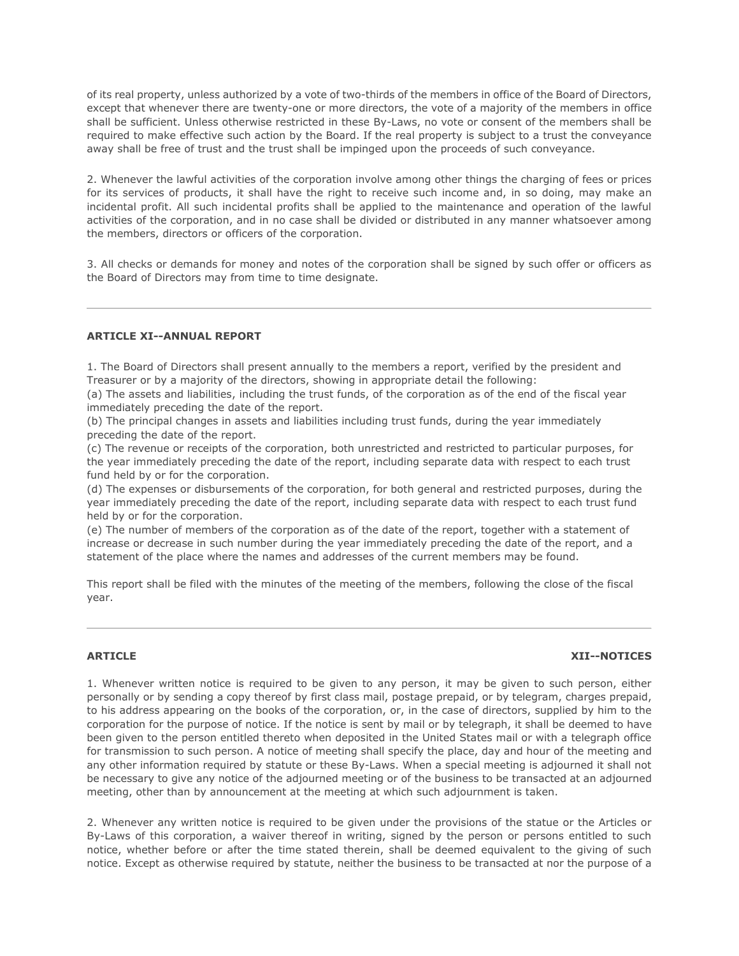of its real property, unless authorized by a vote of two-thirds of the members in office of the Board of Directors, except that whenever there are twenty-one or more directors, the vote of a majority of the members in office shall be sufficient. Unless otherwise restricted in these By-Laws, no vote or consent of the members shall be required to make effective such action by the Board. If the real property is subject to a trust the conveyance away shall be free of trust and the trust shall be impinged upon the proceeds of such conveyance.

2. Whenever the lawful activities of the corporation involve among other things the charging of fees or prices for its services of products, it shall have the right to receive such income and, in so doing, may make an incidental profit. All such incidental profits shall be applied to the maintenance and operation of the lawful activities of the corporation, and in no case shall be divided or distributed in any manner whatsoever among the members, directors or officers of the corporation.

3. All checks or demands for money and notes of the corporation shall be signed by such offer or officers as the Board of Directors may from time to time designate.

# **ARTICLE XI--ANNUAL REPORT**

1. The Board of Directors shall present annually to the members a report, verified by the president and Treasurer or by a majority of the directors, showing in appropriate detail the following:

(a) The assets and liabilities, including the trust funds, of the corporation as of the end of the fiscal year immediately preceding the date of the report.

(b) The principal changes in assets and liabilities including trust funds, during the year immediately preceding the date of the report.

(c) The revenue or receipts of the corporation, both unrestricted and restricted to particular purposes, for the year immediately preceding the date of the report, including separate data with respect to each trust fund held by or for the corporation.

(d) The expenses or disbursements of the corporation, for both general and restricted purposes, during the year immediately preceding the date of the report, including separate data with respect to each trust fund held by or for the corporation.

(e) The number of members of the corporation as of the date of the report, together with a statement of increase or decrease in such number during the year immediately preceding the date of the report, and a statement of the place where the names and addresses of the current members may be found.

This report shall be filed with the minutes of the meeting of the members, following the close of the fiscal year.

## **ARTICLE XII--NOTICES**

1. Whenever written notice is required to be given to any person, it may be given to such person, either personally or by sending a copy thereof by first class mail, postage prepaid, or by telegram, charges prepaid, to his address appearing on the books of the corporation, or, in the case of directors, supplied by him to the corporation for the purpose of notice. If the notice is sent by mail or by telegraph, it shall be deemed to have been given to the person entitled thereto when deposited in the United States mail or with a telegraph office for transmission to such person. A notice of meeting shall specify the place, day and hour of the meeting and any other information required by statute or these By-Laws. When a special meeting is adjourned it shall not be necessary to give any notice of the adjourned meeting or of the business to be transacted at an adjourned meeting, other than by announcement at the meeting at which such adjournment is taken.

2. Whenever any written notice is required to be given under the provisions of the statue or the Articles or By-Laws of this corporation, a waiver thereof in writing, signed by the person or persons entitled to such notice, whether before or after the time stated therein, shall be deemed equivalent to the giving of such notice. Except as otherwise required by statute, neither the business to be transacted at nor the purpose of a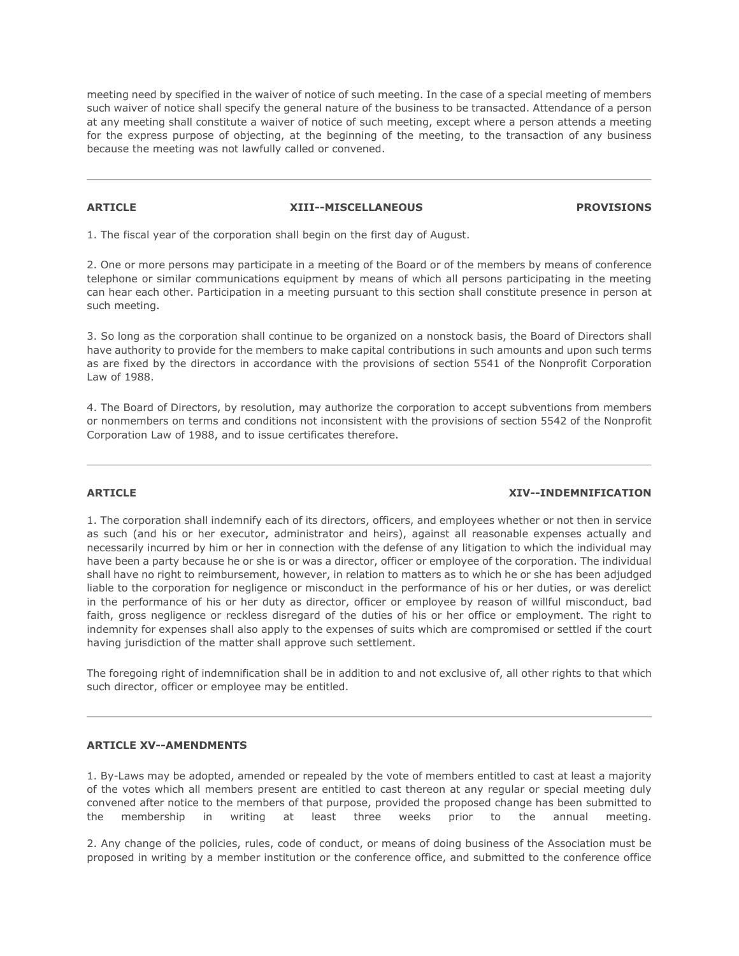meeting need by specified in the waiver of notice of such meeting. In the case of a special meeting of members such waiver of notice shall specify the general nature of the business to be transacted. Attendance of a person at any meeting shall constitute a waiver of notice of such meeting, except where a person attends a meeting for the express purpose of objecting, at the beginning of the meeting, to the transaction of any business because the meeting was not lawfully called or convened.

#### **ARTICLE XIII--MISCELLANEOUS PROVISIONS**

1. The fiscal year of the corporation shall begin on the first day of August.

2. One or more persons may participate in a meeting of the Board or of the members by means of conference telephone or similar communications equipment by means of which all persons participating in the meeting can hear each other. Participation in a meeting pursuant to this section shall constitute presence in person at such meeting.

3. So long as the corporation shall continue to be organized on a nonstock basis, the Board of Directors shall have authority to provide for the members to make capital contributions in such amounts and upon such terms as are fixed by the directors in accordance with the provisions of section 5541 of the Nonprofit Corporation Law of 1988.

4. The Board of Directors, by resolution, may authorize the corporation to accept subventions from members or nonmembers on terms and conditions not inconsistent with the provisions of section 5542 of the Nonprofit Corporation Law of 1988, and to issue certificates therefore.

# **ARTICLE XIV--INDEMNIFICATION**

1. The corporation shall indemnify each of its directors, officers, and employees whether or not then in service as such (and his or her executor, administrator and heirs), against all reasonable expenses actually and necessarily incurred by him or her in connection with the defense of any litigation to which the individual may have been a party because he or she is or was a director, officer or employee of the corporation. The individual shall have no right to reimbursement, however, in relation to matters as to which he or she has been adjudged liable to the corporation for negligence or misconduct in the performance of his or her duties, or was derelict in the performance of his or her duty as director, officer or employee by reason of willful misconduct, bad faith, gross negligence or reckless disregard of the duties of his or her office or employment. The right to indemnity for expenses shall also apply to the expenses of suits which are compromised or settled if the court having jurisdiction of the matter shall approve such settlement.

The foregoing right of indemnification shall be in addition to and not exclusive of, all other rights to that which such director, officer or employee may be entitled.

## **ARTICLE XV--AMENDMENTS**

1. By-Laws may be adopted, amended or repealed by the vote of members entitled to cast at least a majority of the votes which all members present are entitled to cast thereon at any regular or special meeting duly convened after notice to the members of that purpose, provided the proposed change has been submitted to the membership in writing at least three weeks prior to the annual meeting.

2. Any change of the policies, rules, code of conduct, or means of doing business of the Association must be proposed in writing by a member institution or the conference office, and submitted to the conference office